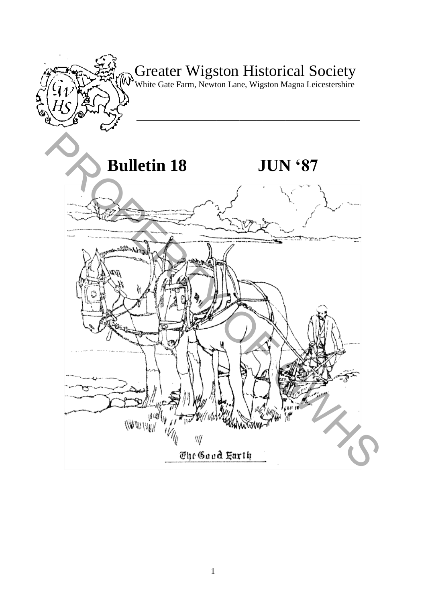

# Greater Wigston Historical Society

White Gate Farm, Newton Lane, Wigston Magna Leicestershire

**\_\_\_\_\_\_\_\_\_\_\_\_\_\_\_\_\_\_\_\_\_\_\_\_\_\_\_\_\_\_\_\_\_\_\_\_\_\_\_** 

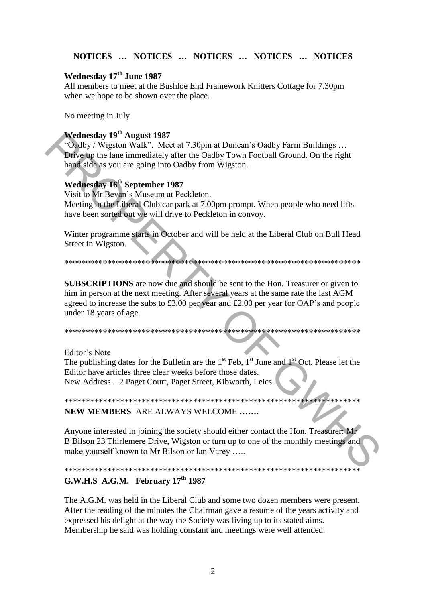### NOTICES ... NOTICES ... NOTICES ... NOTICES ... NOTICES

# Wednesday 17<sup>th</sup> June 1987

All members to meet at the Bushloe End Framework Knitters Cottage for 7.30pm when we hope to be shown over the place.

No meeting in July

# Wednesday 19<sup>th</sup> August 1987

"Oadby / Wigston Walk". Meet at 7.30pm at Duncan's Oadby Farm Buildings ... Drive up the lane immediately after the Oadby Town Football Ground. On the right hand side as you are going into Oadby from Wigston.

# Wednesday 16<sup>th</sup> September 1987

Visit to Mr Bevan's Museum at Peckleton. Meeting in the Liberal Club car park at 7.00pm prompt. When people who need lifts have been sorted out we will drive to Peckleton in convoy.

Winter programme starts in October and will be held at the Liberal Club on Bull Head Street in Wigston.

**SUBSCRIPTIONS** are now due and should be sent to the Hon. Treasurer or given to him in person at the next meeting. After several years at the same rate the last AGM agreed to increase the subs to £3.00 per year and £2.00 per year for OAP's and people under 18 years of age.

Editor's Note

The publishing dates for the Bulletin are the  $1<sup>st</sup>$  Feb,  $1<sup>st</sup>$  June and  $1<sup>st</sup>$  Oct. Please let the Editor have articles three clear weeks before those dates. New Address .. 2 Paget Court, Paget Street, Kibworth, Leics.

# NEW MEMBERS ARE ALWAYS WELCOME .......

Anyone interested in joining the society should either contact the Hon. Treasurer: Mr B Bilson 23 Thirlemere Drive, Wigston or turn up to one of the monthly meetings and make yourself known to Mr Bilson or Ian Varey .....

# 

# G.W.H.S A.G.M. February  $17<sup>th</sup> 1987$

The A.G.M. was held in the Liberal Club and some two dozen members were present. After the reading of the minutes the Chairman gave a resume of the years activity and expressed his delight at the way the Society was living up to its stated aims. Membership he said was holding constant and meetings were well attended.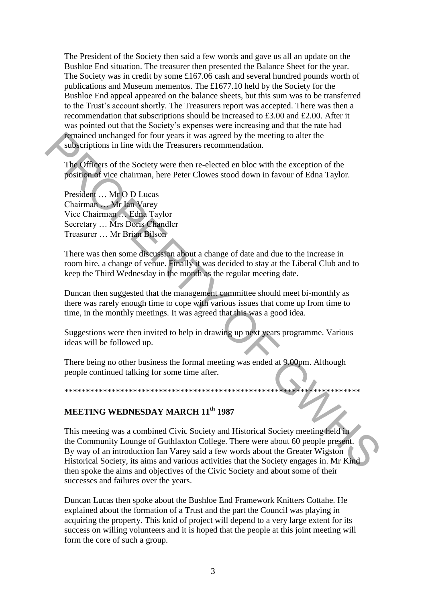The President of the Society then said a few words and gave us all an update on the Bushloe End situation. The treasurer then presented the Balance Sheet for the year. The Society was in credit by some £167.06 cash and several hundred pounds worth of publications and Museum mementos. The £1677.10 held by the Society for the Bushloe End appeal appeared on the balance sheets, but this sum was to be transferred to the Trust"s account shortly. The Treasurers report was accepted. There was then a recommendation that subscriptions should be increased to £3.00 and £2.00. After it was pointed out that the Society's expenses were increasing and that the rate had remained unchanged for four years it was agreed by the meeting to alter the subscriptions in line with the Treasurers recommendation.

The Officers of the Society were then re-elected en bloc with the exception of the position of vice chairman, here Peter Clowes stood down in favour of Edna Taylor.

President … Mr O D Lucas Chairman … Mr Ian Varey Vice Chairman … Edna Taylor Secretary … Mrs Doris Chandler Treasurer … Mr Brian Bilson

There was then some discussion about a change of date and due to the increase in room hire, a change of venue. Finally it was decided to stay at the Liberal Club and to keep the Third Wednesday in the month as the regular meeting date.

Duncan then suggested that the management committee should meet bi-monthly as there was rarely enough time to cope with various issues that come up from time to time, in the monthly meetings. It was agreed that this was a good idea.

Suggestions were then invited to help in drawing up next years programme. Various ideas will be followed up.

There being no other business the formal meeting was ended at 9.00pm. Although people continued talking for some time after.

\*\*\*\*\*\*\*\*\*\*\*\*\*\*\*\*\*\*\*\*\*\*\*\*\*\*\*\*\*\*\*\*\*\*\*\*\*\*\*\*\*\*\*\*\*\*\*\*\*\*\*\*\*\*\*\*\*\*\*\*\*\*\*\*\*\*\*\*\*

# **MEETING WEDNESDAY MARCH 11th 1987**

This meeting was a combined Civic Society and Historical Society meeting held in the Community Lounge of Guthlaxton College. There were about 60 people present. By way of an introduction Ian Varey said a few words about the Greater Wigston Historical Society, its aims and various activities that the Society engages in. Mr Kind then spoke the aims and objectives of the Civic Society and about some of their successes and failures over the years. **Fun** included uncheaped for four years it was agreed by the meeting to alter the<br> **EXECUTES TO THEAT THE CONSESS CONSESS CONSESS CONSESS CONSESS CONSESS CONSESS CONSESS CONSESS CONSESS CONSESS CONSESS CONSESS CONSESS CON** 

Duncan Lucas then spoke about the Bushloe End Framework Knitters Cottahe. He explained about the formation of a Trust and the part the Council was playing in acquiring the property. This knid of project will depend to a very large extent for its success on willing volunteers and it is hoped that the people at this joint meeting will form the core of such a group.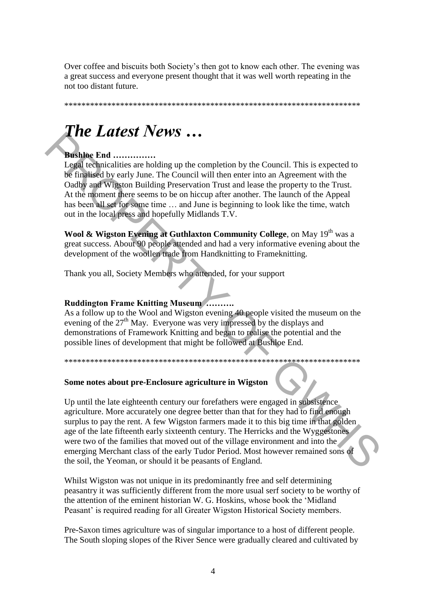Over coffee and biscuits both Society's then got to know each other. The evening was a great success and everyone present thought that it was well worth repeating in the not too distant future.

# **The Latest News...**

# **Bushloe End ..............**

Legal technicalities are holding up the completion by the Council. This is expected to be finalised by early June. The Council will then enter into an Agreement with the Oadby and Wigston Building Preservation Trust and lease the property to the Trust. At the moment there seems to be on hiccup after another. The launch of the Appeal has been all set for some time ... and June is beginning to look like the time, watch out in the local press and hopefully Midlands T.V.

Wool & Wigston Evening at Guthlaxton Community College, on May 19<sup>th</sup> was a great success. About 90 people attended and had a very informative evening about the development of the woollen trade from Handknitting to Frameknitting.

Thank you all, Society Members who attended, for your support

#### **Ruddington Frame Knitting Museum ..........**

As a follow up to the Wool and Wigston evening 40 people visited the museum on the evening of the  $27<sup>th</sup>$  May. Everyone was very impressed by the displays and demonstrations of Framework Knitting and began to realise the potential and the possible lines of development that might be followed at Bushloe End.

# Some notes about pre-Enclosure agriculture in Wigston

Up until the late eighteenth century our forefathers were engaged in subsistence agriculture. More accurately one degree better than that for they had to find enough surplus to pay the rent. A few Wigston farmers made it to this big time in that golden age of the late fifteenth early sixteenth century. The Herricks and the Wyggestones were two of the families that moved out of the village environment and into the emerging Merchant class of the early Tudor Period. Most however remained sons of the soil, the Yeoman, or should it be peasants of England.

Whilst Wigston was not unique in its predominantly free and self determining peasantry it was sufficiently different from the more usual serf society to be worthy of the attention of the eminent historian W. G. Hoskins, whose book the 'Midland' Peasant' is required reading for all Greater Wigston Historical Society members.

Pre-Saxon times agriculture was of singular importance to a host of different people. The South sloping slopes of the River Sence were gradually cleared and cultivated by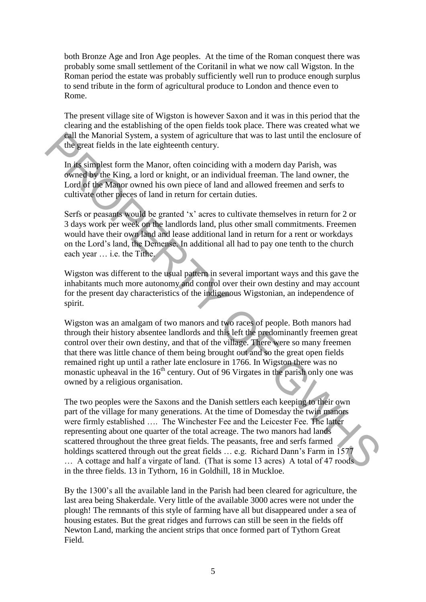both Bronze Age and Iron Age peoples. At the time of the Roman conquest there was probably some small settlement of the Coritanil in what we now call Wigston. In the Roman period the estate was probably sufficiently well run to produce enough surplus to send tribute in the form of agricultural produce to London and thence even to Rome.

The present village site of Wigston is however Saxon and it was in this period that the clearing and the establishing of the open fields took place. There was created what we call the Manorial System, a system of agriculture that was to last until the enclosure of the great fields in the late eighteenth century.

In its simplest form the Manor, often coinciding with a modern day Parish, was owned by the King, a lord or knight, or an individual freeman. The land owner, the Lord of the Manor owned his own piece of land and allowed freemen and serfs to cultivate other pieces of land in return for certain duties.

Serfs or peasants would be granted "x" acres to cultivate themselves in return for 2 or 3 days work per week on the landlords land, plus other small commitments. Freemen would have their own land and lease additional land in return for a rent or workdays on the Lord"s land, the Demense. In additional all had to pay one tenth to the church each year … i.e. the Tithe.

Wigston was different to the usual pattern in several important ways and this gave the inhabitants much more autonomy and control over their own destiny and may account for the present day characteristics of the indigenous Wigstonian, an independence of spirit.

Wigston was an amalgam of two manors and two races of people. Both manors had through their history absentee landlords and this left the predominantly freemen great control over their own destiny, and that of the village. There were so many freemen that there was little chance of them being brought out and so the great open fields remained right up until a rather late enclosure in 1766. In Wigston there was no monastic upheaval in the  $16<sup>th</sup>$  century. Out of 96 Virgates in the parish only one was owned by a religious organisation.

The two peoples were the Saxons and the Danish settlers each keeping to their own part of the village for many generations. At the time of Domesday the twin manors were firmly established …. The Winchester Fee and the Leicester Fee. The latter representing about one quarter of the total acreage. The two manors had lands scattered throughout the three great fields. The peasants, free and serfs farmed holdings scattered through out the great fields ... e.g. Richard Dann's Farm in 1577 … A cottage and half a virgate of land. (That is some 13 acres) A total of 47 roods in the three fields. 13 in Tythorn, 16 in Goldhill, 18 in Muckloe. **Call the Manorial System** of agriculture that was to last until the encoronor of the dimension of the last eighteenth century.<br>
In its simplest form the Manor, often coinciding with a modern day Parish, was<br>
fowned by th

By the 1300's all the available land in the Parish had been cleared for agriculture, the last area being Shakerdale. Very little of the available 3000 acres were not under the plough! The remnants of this style of farming have all but disappeared under a sea of housing estates. But the great ridges and furrows can still be seen in the fields off Newton Land, marking the ancient strips that once formed part of Tythorn Great Field.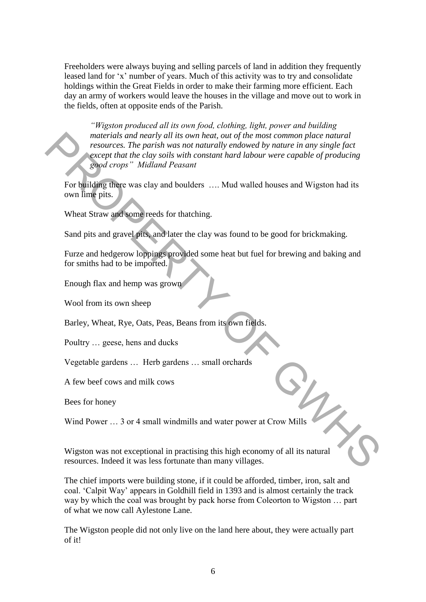Freeholders were always buying and selling parcels of land in addition they frequently leased land for "x" number of years. Much of this activity was to try and consolidate holdings within the Great Fields in order to make their farming more efficient. Each day an army of workers would leave the houses in the village and move out to work in the fields, often at opposite ends of the Parish.

*"Wigston produced all its own food, clothing, light, power and building materials and nearly all its own heat, out of the most common place natural resources. The parish was not naturally endowed by nature in any single fact except that the clay soils with constant hard labour were capable of producing good crops" Midland Peasant* materials and nearly all its own heat, out of the most common place natural<br>
resources. The parish was not naturally endowed by nature in any single fact<br>
except that the clay soils with constant hard labour were capable o

For building there was clay and boulders …. Mud walled houses and Wigston had its own lime pits.

Wheat Straw and some reeds for thatching.

Sand pits and gravel pits, and later the clay was found to be good for brickmaking.

Furze and hedgerow loppings provided some heat but fuel for brewing and baking and for smiths had to be imported.

Enough flax and hemp was grown

Wool from its own sheep

Barley, Wheat, Rye, Oats, Peas, Beans from its own fields.

Poultry … geese, hens and ducks

Vegetable gardens … Herb gardens … small orchards

A few beef cows and milk cows

Bees for honey

Wind Power ... 3 or 4 small windmills and water power at Crow Mills

Wigston was not exceptional in practising this high economy of all its natural resources. Indeed it was less fortunate than many villages.

The chief imports were building stone, if it could be afforded, timber, iron, salt and coal. "Calpit Way" appears in Goldhill field in 1393 and is almost certainly the track way by which the coal was brought by pack horse from Coleorton to Wigston … part of what we now call Aylestone Lane.

The Wigston people did not only live on the land here about, they were actually part of it!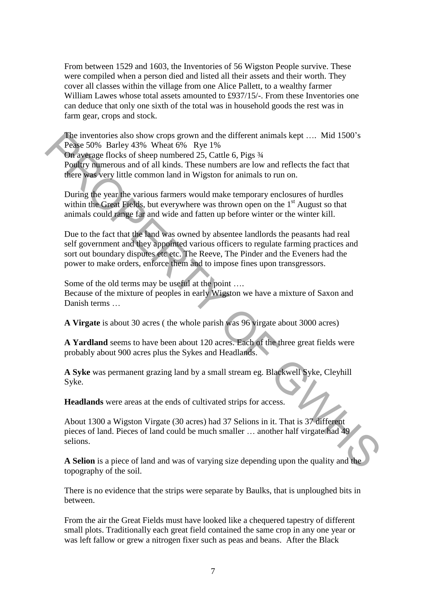From between 1529 and 1603, the Inventories of 56 Wigston People survive. These were compiled when a person died and listed all their assets and their worth. They cover all classes within the village from one Alice Pallett, to a wealthy farmer William Lawes whose total assets amounted to £937/15/-. From these Inventories one can deduce that only one sixth of the total was in household goods the rest was in farm gear, crops and stock.

The inventories also show crops grown and the different animals kept .... Mid 1500's Pease 50% Barley 43% Wheat 6% Rye 1%

On average flocks of sheep numbered 25, Cattle 6, Pigs  $\frac{3}{4}$ Poultry numerous and of all kinds. These numbers are low and reflects the fact that there was very little common land in Wigston for animals to run on.

During the year the various farmers would make temporary enclosures of hurdles within the Great Fields, but everywhere was thrown open on the  $1<sup>st</sup>$  August so that animals could range far and wide and fatten up before winter or the winter kill.

Due to the fact that the land was owned by absentee landlords the peasants had real self government and they appointed various officers to regulate farming practices and sort out boundary disputes etc etc. The Reeve, The Pinder and the Eveners had the power to make orders, enforce them and to impose fines upon transgressors. The inventories also show crops grown and the different animals kept .... Mid 1500's<br>
Peake 50% Barley 43% Wheat 6% Rye 1%<br>
On were nothered 25. Catte 6, Pigs 34<br>
Poultry mumerous and of all kinds. These numbers are low a

Some of the old terms may be useful at the point …. Because of the mixture of peoples in early Wigston we have a mixture of Saxon and Danish terms …

**A Virgate** is about 30 acres ( the whole parish was 96 virgate about 3000 acres)

**A Yardland** seems to have been about 120 acres. Each of the three great fields were probably about 900 acres plus the Sykes and Headlands.

**A Syke** was permanent grazing land by a small stream eg. Blackwell Syke, Cleyhill Syke.

**Headlands** were areas at the ends of cultivated strips for access.

About 1300 a Wigston Virgate (30 acres) had 37 Selions in it. That is 37 different pieces of land. Pieces of land could be much smaller … another half virgate had 49 selions.

**A Selion** is a piece of land and was of varying size depending upon the quality and the topography of the soil.

There is no evidence that the strips were separate by Baulks, that is unploughed bits in between.

From the air the Great Fields must have looked like a chequered tapestry of different small plots. Traditionally each great field contained the same crop in any one year or was left fallow or grew a nitrogen fixer such as peas and beans. After the Black